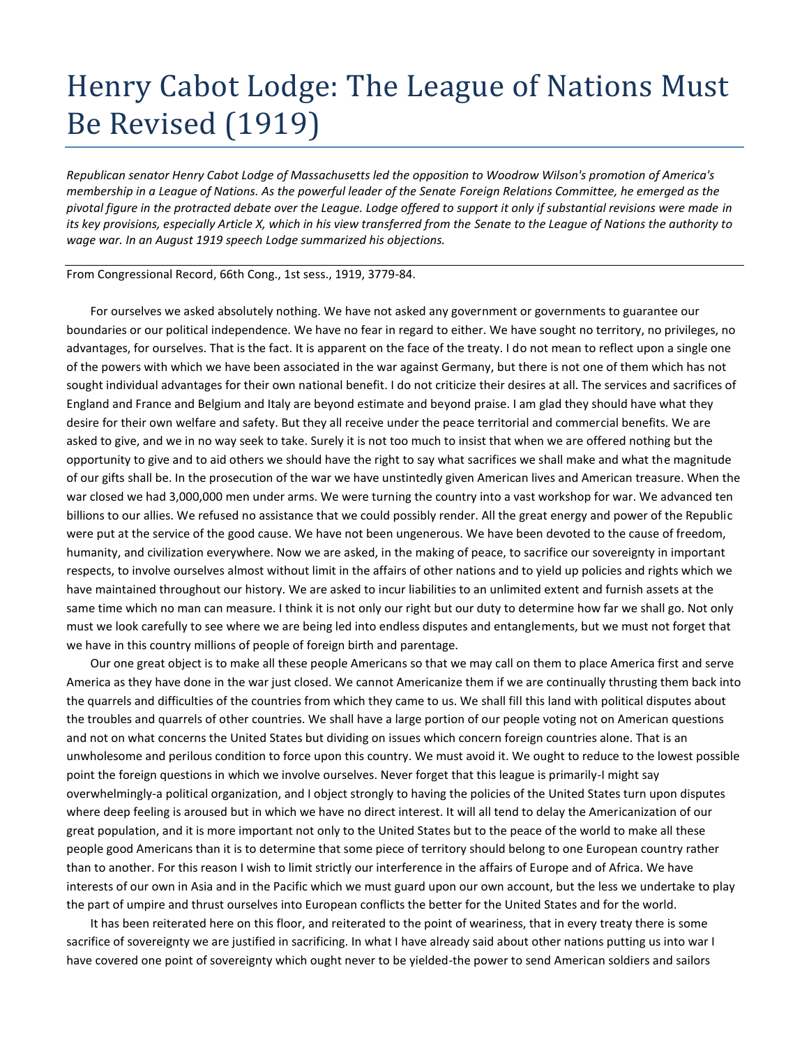## Henry Cabot Lodge: The League of Nations Must Be Revised (1919)

*Republican senator Henry Cabot Lodge of Massachusetts led the opposition to Woodrow Wilson's promotion of America's membership in a League of Nations. As the powerful leader of the Senate Foreign Relations Committee, he emerged as the pivotal figure in the protracted debate over the League. Lodge offered to support it only if substantial revisions were made in its key provisions, especially Article X, which in his view transferred from the Senate to the League of Nations the authority to wage war. In an August 1919 speech Lodge summarized his objections.*

From Congressional Record, 66th Cong., 1st sess., 1919, 3779-84.

For ourselves we asked absolutely nothing. We have not asked any government or governments to guarantee our boundaries or our political independence. We have no fear in regard to either. We have sought no territory, no privileges, no advantages, for ourselves. That is the fact. It is apparent on the face of the treaty. I do not mean to reflect upon a single one of the powers with which we have been associated in the war against Germany, but there is not one of them which has not sought individual advantages for their own national benefit. I do not criticize their desires at all. The services and sacrifices of England and France and Belgium and Italy are beyond estimate and beyond praise. I am glad they should have what they desire for their own welfare and safety. But they all receive under the peace territorial and commercial benefits. We are asked to give, and we in no way seek to take. Surely it is not too much to insist that when we are offered nothing but the opportunity to give and to aid others we should have the right to say what sacrifices we shall make and what the magnitude of our gifts shall be. In the prosecution of the war we have unstintedly given American lives and American treasure. When the war closed we had 3,000,000 men under arms. We were turning the country into a vast workshop for war. We advanced ten billions to our allies. We refused no assistance that we could possibly render. All the great energy and power of the Republic were put at the service of the good cause. We have not been ungenerous. We have been devoted to the cause of freedom, humanity, and civilization everywhere. Now we are asked, in the making of peace, to sacrifice our sovereignty in important respects, to involve ourselves almost without limit in the affairs of other nations and to yield up policies and rights which we have maintained throughout our history. We are asked to incur liabilities to an unlimited extent and furnish assets at the same time which no man can measure. I think it is not only our right but our duty to determine how far we shall go. Not only must we look carefully to see where we are being led into endless disputes and entanglements, but we must not forget that we have in this country millions of people of foreign birth and parentage.

Our one great object is to make all these people Americans so that we may call on them to place America first and serve America as they have done in the war just closed. We cannot Americanize them if we are continually thrusting them back into the quarrels and difficulties of the countries from which they came to us. We shall fill this land with political disputes about the troubles and quarrels of other countries. We shall have a large portion of our people voting not on American questions and not on what concerns the United States but dividing on issues which concern foreign countries alone. That is an unwholesome and perilous condition to force upon this country. We must avoid it. We ought to reduce to the lowest possible point the foreign questions in which we involve ourselves. Never forget that this league is primarily-I might say overwhelmingly-a political organization, and I object strongly to having the policies of the United States turn upon disputes where deep feeling is aroused but in which we have no direct interest. It will all tend to delay the Americanization of our great population, and it is more important not only to the United States but to the peace of the world to make all these people good Americans than it is to determine that some piece of territory should belong to one European country rather than to another. For this reason I wish to limit strictly our interference in the affairs of Europe and of Africa. We have interests of our own in Asia and in the Pacific which we must guard upon our own account, but the less we undertake to play the part of umpire and thrust ourselves into European conflicts the better for the United States and for the world.

It has been reiterated here on this floor, and reiterated to the point of weariness, that in every treaty there is some sacrifice of sovereignty we are justified in sacrificing. In what I have already said about other nations putting us into war I have covered one point of sovereignty which ought never to be yielded-the power to send American soldiers and sailors